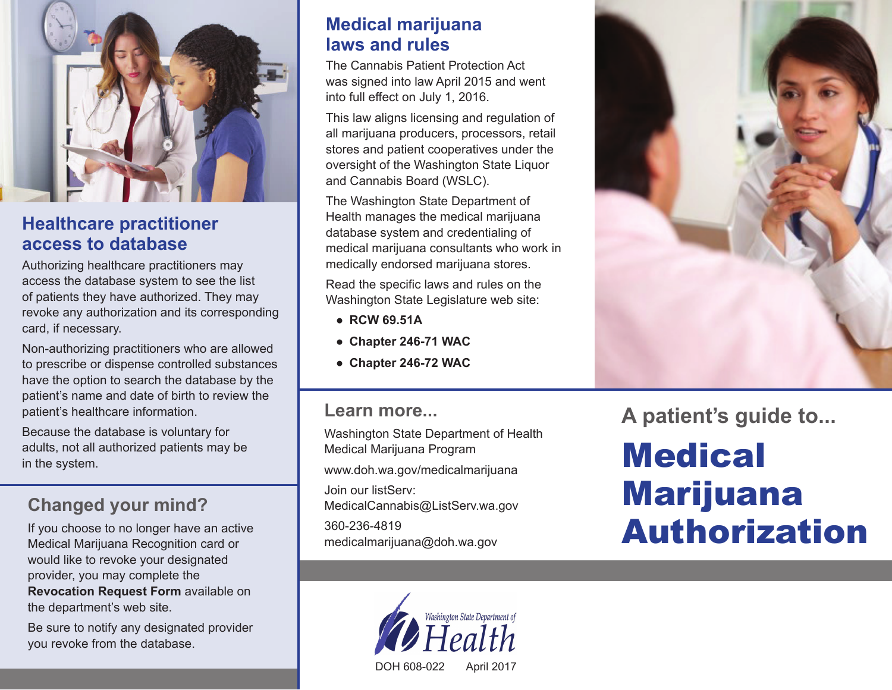

#### **Healthcare practitioner access to database**

Authorizing healthcare practitioners may access the database system to see the list of patients they have authorized. They may revoke any authorization and its corresponding card, if necessary.

Non-authorizing practitioners who are allowed to prescribe or dispense controlled substances have the option to search the database by the patient's name and date of birth to review the patient's healthcare information.

Because the database is voluntary for adults, not all authorized patients may be in the system.

## **Changed your mind?**

If you choose to no longer have an active Medical Marijuana Recognition card or would like to revoke your designated provider, you may complete the **Revocation Request Form** available on the department's web site.

Be sure to notify any designated provider you revoke from the database.

#### **Medical marijuana laws and rules**

The Cannabis Patient Protection Act was signed into law April 2015 and went into full effect on July 1, 2016.

This law aligns licensing and regulation of all marijuana producers, processors, retail stores and patient cooperatives under the oversight of the Washington State Liquor and Cannabis Board (WSLC).

The Washington State Department of Health manages the medical marijuana database system and credentialing of medical marijuana consultants who work in medically endorsed marijuana stores.

Read the specific laws and rules on the Washington State Legislature web site:

- **RCW 69.51A**
- **Chapter 246-71 WAC**
- **Chapter 246-72 WAC**

#### **Learn more...**

Washington State Department of Health Medical Marijuana Program www.doh.wa.gov/medicalmarijuana Join our listServ: MedicalCannabis@ListServ.wa.gov 360-236-4819 medicalmarijuana@doh.wa.gov





**A patient's guide to...**

# **Medical** Marijuana Authorization